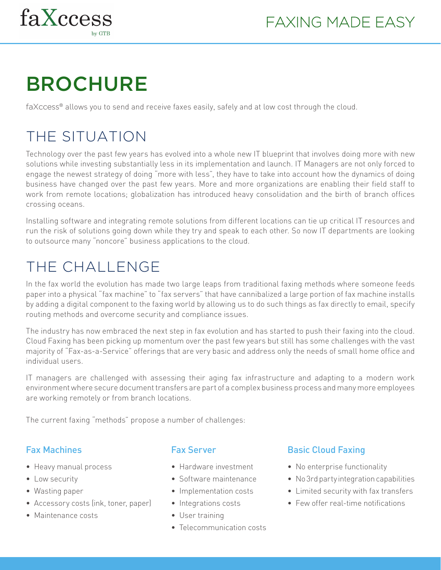# BROCHURE

faXccess® allows you to send and receive faxes easily, safely and at low cost through the cloud.

# THE SITUATION

Technology over the past few years has evolved into a whole new IT blueprint that involves doing more with new solutions while investing substantially less in its implementation and launch. IT Managers are not only forced to engage the newest strategy of doing "more with less", they have to take into account how the dynamics of doing business have changed over the past few years. More and more organizations are enabling their field staff to work from remote locations; globalization has introduced heavy consolidation and the birth of branch offices crossing oceans.

Installing software and integrating remote solutions from different locations can tie up critical IT resources and run the risk of solutions going down while they try and speak to each other. So now IT departments are looking to outsource many "noncore" business applications to the cloud.

# THE CHALLENGE

In the fax world the evolution has made two large leaps from traditional faxing methods where someone feeds paper into a physical "fax machine" to "fax servers" that have cannibalized a large portion of fax machine installs by adding a digital component to the faxing world by allowing us to do such things as fax directly to email, specify routing methods and overcome security and compliance issues.

The industry has now embraced the next step in fax evolution and has started to push their faxing into the cloud. Cloud Faxing has been picking up momentum over the past few years but still has some challenges with the vast majority of "Fax-as-a-Service" offerings that are very basic and address only the needs of small home office and individual users.

IT managers are challenged with assessing their aging fax infrastructure and adapting to a modern work environment where secure document transfers are part of a complex business process and many more employees are working remotely or from branch locations.

The current faxing "methods" propose a number of challenges:

### Fax Machines

- Heavy manual process
- Low security
- Wasting paper
- Accessory costs (ink, toner, paper)
- Maintenance costs

### Fax Server

- Hardware investment
- Software maintenance
- Implementation costs
- Integrations costs
- User training
- Telecommunication costs

### Basic Cloud Faxing

- No enterprise functionality
- No 3rd party integration capabilities
- Limited security with fax transfers
- Few offer real-time notifications